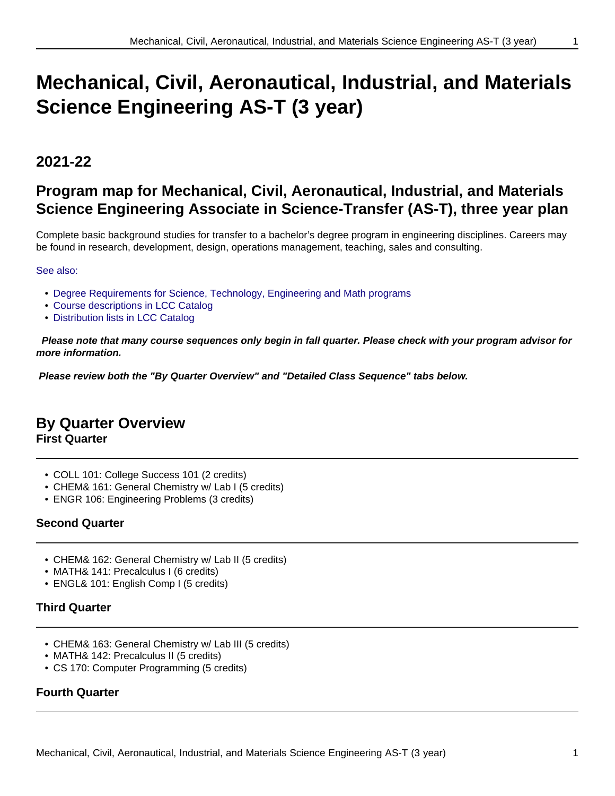# **2021-22**

# **Program map for Mechanical, Civil, Aeronautical, Industrial, and Materials Science Engineering Associate in Science-Transfer (AS-T), three year plan**

Complete basic background studies for transfer to a bachelor's degree program in engineering disciplines. Careers may be found in research, development, design, operations management, teaching, sales and consulting.

## See also:

- Degree Requirements for Science, Technology, Engineering and Math programs
- Course descriptions in LCC Catalog
- Distribution lists in LCC Catalog

 **Please note that many course sequences only begin in fall quarter. Please check with your program advisor for more information.**

**Please review both the "By Quarter Overview" and "Detailed Class Sequence" tabs below.**

## **By Quarter Overview**

**First Quarter**

- COLL 101: College Success 101 (2 credits)
- CHEM& 161: General Chemistry w/ Lab I (5 credits)
- ENGR 106: Engineering Problems (3 credits)

## **Second Quarter**

- CHEM& 162: General Chemistry w/ Lab II (5 credits)
- MATH& 141: Precalculus I (6 credits)
- ENGL& 101: English Comp I (5 credits)

## **Third Quarter**

- CHEM& 163: General Chemistry w/ Lab III (5 credits)
- MATH& 142: Precalculus II (5 credits)
- CS 170: Computer Programming (5 credits)

## **Fourth Quarter**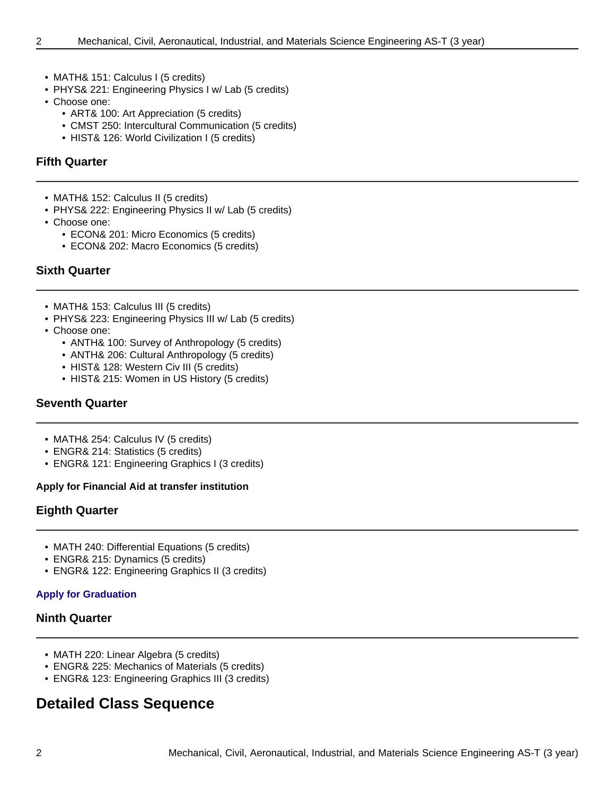- - MATH& 151: Calculus I (5 credits)
	- PHYS& 221: Engineering Physics I w/ Lab (5 credits)
	- Choose one:
		- ART& 100: Art Appreciation (5 credits)
		- CMST 250: Intercultural Communication (5 credits)
		- HIST& 126: World Civilization I (5 credits)

## **Fifth Quarter**

- MATH& 152: Calculus II (5 credits)
- PHYS& 222: Engineering Physics II w/ Lab (5 credits)
- Choose one:
	- ECON& 201: Micro Economics (5 credits)
	- ECON& 202: Macro Economics (5 credits)

## **Sixth Quarter**

- MATH& 153: Calculus III (5 credits)
- PHYS& 223: Engineering Physics III w/ Lab (5 credits)
- Choose one:
	- ANTH& 100: Survey of Anthropology (5 credits)
	- ANTH& 206: Cultural Anthropology (5 credits)
	- HIST& 128: Western Civ III (5 credits)
	- HIST& 215: Women in US History (5 credits)

## **Seventh Quarter**

- MATH& 254: Calculus IV (5 credits)
- ENGR& 214: Statistics (5 credits)
- ENGR& 121: Engineering Graphics I (3 credits)

## **Apply for Financial Aid at transfer institution**

## **Eighth Quarter**

- MATH 240: Differential Equations (5 credits)
- ENGR& 215: Dynamics (5 credits)
- ENGR& 122: Engineering Graphics II (3 credits)

## **Apply for Graduation**

## **Ninth Quarter**

- MATH 220: Linear Algebra (5 credits)
- ENGR& 225: Mechanics of Materials (5 credits)
- ENGR& 123: Engineering Graphics III (3 credits)

## **Detailed Class Sequence**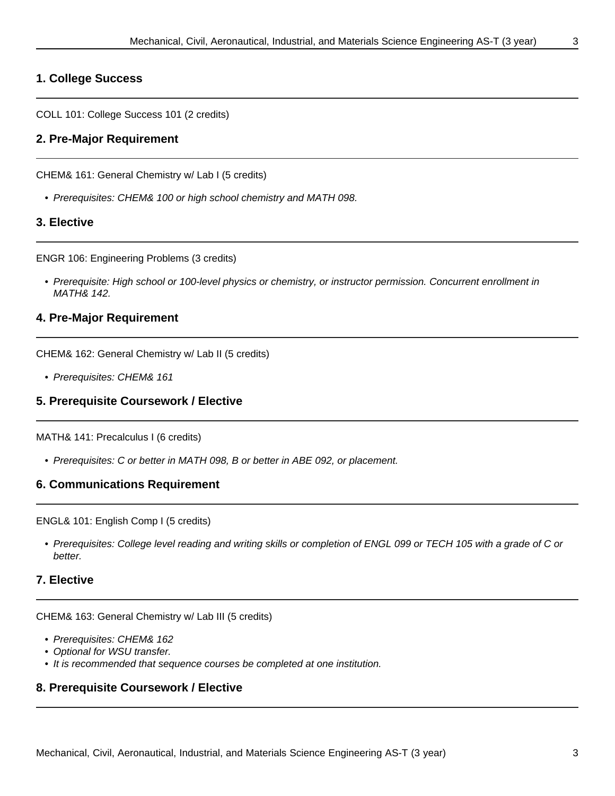## **1. College Success**

COLL 101: College Success 101 (2 credits)

## **2. Pre-Major Requirement**

CHEM& 161: General Chemistry w/ Lab I (5 credits)

• Prerequisites: CHEM& 100 or high school chemistry and MATH 098.

## **3. Elective**

ENGR 106: Engineering Problems (3 credits)

• Prerequisite: High school or 100-level physics or chemistry, or instructor permission. Concurrent enrollment in MATH& 142.

## **4. Pre-Major Requirement**

CHEM& 162: General Chemistry w/ Lab II (5 credits)

• Prerequisites: CHEM& 161

## **5. Prerequisite Coursework / Elective**

MATH& 141: Precalculus I (6 credits)

• Prerequisites: C or better in MATH 098, B or better in ABE 092, or placement.

## **6. Communications Requirement**

ENGL& 101: English Comp I (5 credits)

• Prerequisites: College level reading and writing skills or completion of ENGL 099 or TECH 105 with a grade of C or better.

## **7. Elective**

CHEM& 163: General Chemistry w/ Lab III (5 credits)

- Prerequisites: CHEM& 162
- Optional for WSU transfer.
- It is recommended that sequence courses be completed at one institution.

## **8. Prerequisite Coursework / Elective**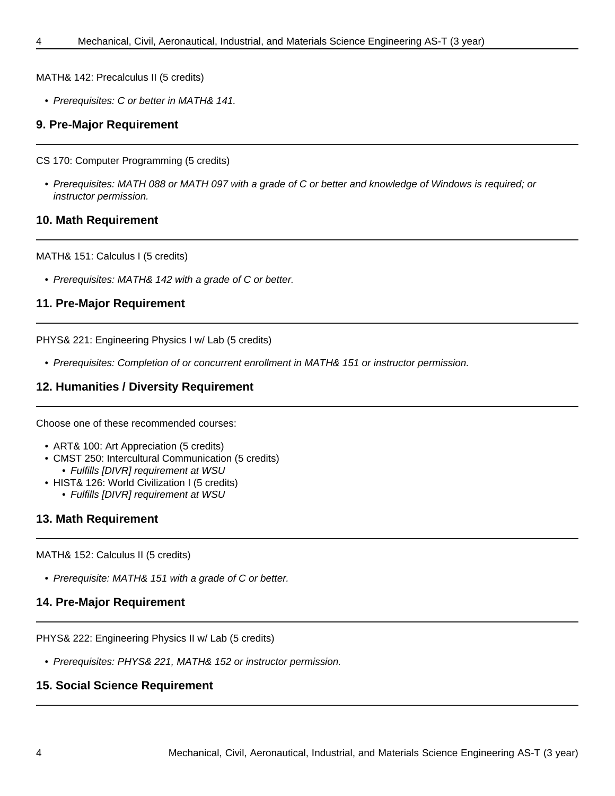MATH& 142: Precalculus II (5 credits)

• Prerequisites: C or better in MATH& 141.

#### **9. Pre-Major Requirement**

CS 170: Computer Programming (5 credits)

• Prerequisites: MATH 088 or MATH 097 with a grade of C or better and knowledge of Windows is required; or instructor permission.

#### **10. Math Requirement**

MATH& 151: Calculus I (5 credits)

• Prerequisites: MATH& 142 with a grade of C or better.

## **11. Pre-Major Requirement**

PHYS& 221: Engineering Physics I w/ Lab (5 credits)

• Prerequisites: Completion of or concurrent enrollment in MATH& 151 or instructor permission.

## **12. Humanities / Diversity Requirement**

Choose one of these recommended courses:

- ART& 100: Art Appreciation (5 credits)
- CMST 250: Intercultural Communication (5 credits)
	- Fulfills [DIVR] requirement at WSU
- HIST& 126: World Civilization I (5 credits)
	- Fulfills [DIVR] requirement at WSU

## **13. Math Requirement**

MATH& 152: Calculus II (5 credits)

• Prerequisite: MATH& 151 with a grade of C or better.

## **14. Pre-Major Requirement**

PHYS& 222: Engineering Physics II w/ Lab (5 credits)

• Prerequisites: PHYS& 221, MATH& 152 or instructor permission.

## **15. Social Science Requirement**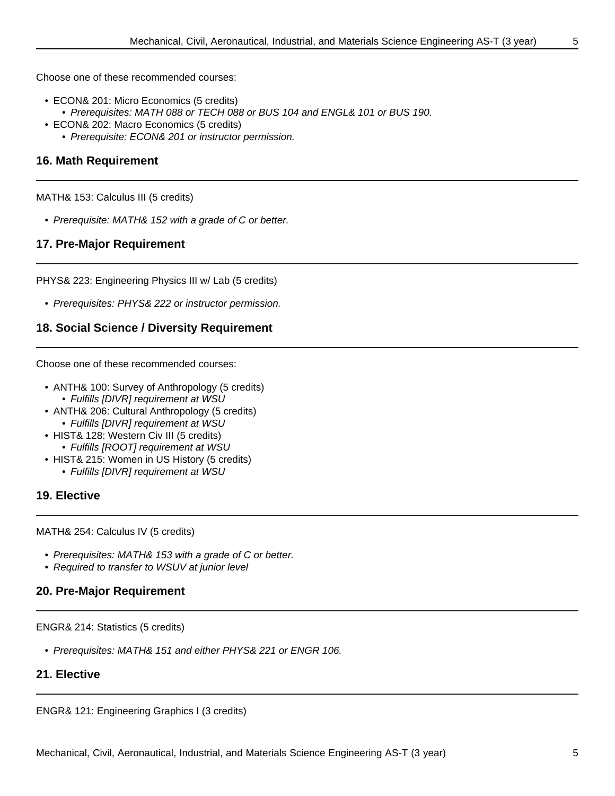Choose one of these recommended courses:

- ECON& 201: Micro Economics (5 credits)
- Prerequisites: MATH 088 or TECH 088 or BUS 104 and ENGL& 101 or BUS 190.
- ECON& 202: Macro Economics (5 credits)
	- Prerequisite: ECON& 201 or instructor permission.

## **16. Math Requirement**

MATH& 153: Calculus III (5 credits)

• Prerequisite: MATH& 152 with a grade of C or better.

## **17. Pre-Major Requirement**

PHYS& 223: Engineering Physics III w/ Lab (5 credits)

• Prerequisites: PHYS& 222 or instructor permission.

## **18. Social Science / Diversity Requirement**

Choose one of these recommended courses:

- ANTH& 100: Survey of Anthropology (5 credits) • Fulfills [DIVR] requirement at WSU
- ANTH& 206: Cultural Anthropology (5 credits)
	- Fulfills [DIVR] requirement at WSU
- HIST& 128: Western Civ III (5 credits) • Fulfills [ROOT] requirement at WSU
- HIST& 215: Women in US History (5 credits)
	- Fulfills [DIVR] requirement at WSU

## **19. Elective**

MATH& 254: Calculus IV (5 credits)

- Prerequisites: MATH& 153 with a grade of C or better.
- Required to transfer to WSUV at junior level

## **20. Pre-Major Requirement**

ENGR& 214: Statistics (5 credits)

• Prerequisites: MATH& 151 and either PHYS& 221 or ENGR 106.

## **21. Elective**

ENGR& 121: Engineering Graphics I (3 credits)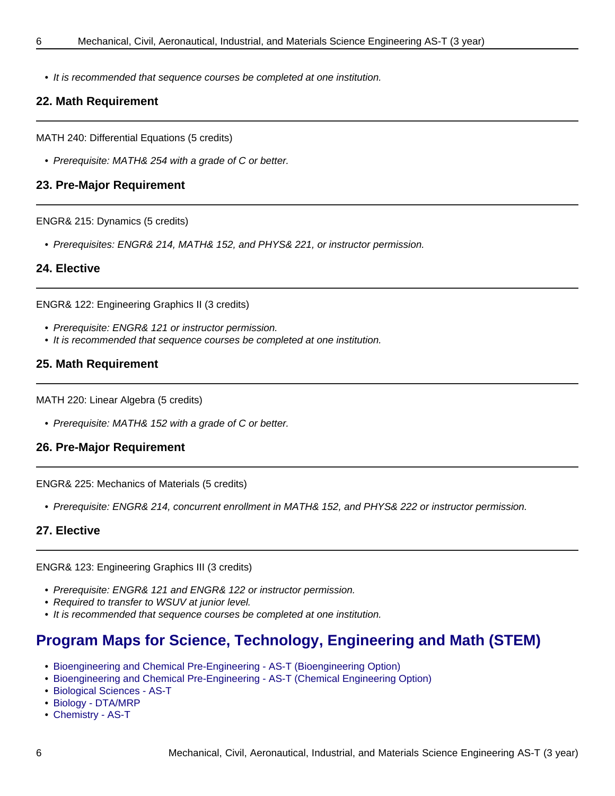• It is recommended that sequence courses be completed at one institution.

## **22. Math Requirement**

MATH 240: Differential Equations (5 credits)

• Prerequisite: MATH& 254 with a grade of C or better.

## **23. Pre-Major Requirement**

ENGR& 215: Dynamics (5 credits)

• Prerequisites: ENGR& 214, MATH& 152, and PHYS& 221, or instructor permission.

#### **24. Elective**

ENGR& 122: Engineering Graphics II (3 credits)

- Prerequisite: ENGR& 121 or instructor permission.
- It is recommended that sequence courses be completed at one institution.

## **25. Math Requirement**

MATH 220: Linear Algebra (5 credits)

• Prerequisite: MATH& 152 with a grade of C or better.

## **26. Pre-Major Requirement**

ENGR& 225: Mechanics of Materials (5 credits)

• Prerequisite: ENGR& 214, concurrent enrollment in MATH& 152, and PHYS& 222 or instructor permission.

## **27. Elective**

ENGR& 123: Engineering Graphics III (3 credits)

- Prerequisite: ENGR& 121 and ENGR& 122 or instructor permission.
- Required to transfer to WSUV at junior level.
- It is recommended that sequence courses be completed at one institution.

# **Program Maps for Science, Technology, Engineering and Math (STEM)**

- Bioengineering and Chemical Pre-Engineering AS-T (Bioengineering Option)
- Bioengineering and Chemical Pre-Engineering AS-T (Chemical Engineering Option)
- Biological Sciences AS-T
- Biology DTA/MRP
- Chemistry AS-T